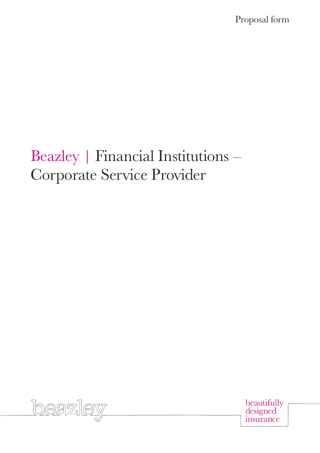Proposal form

# Beazley | Financial Institutions – Corporate Service Provider



beautifully<br>designed insurance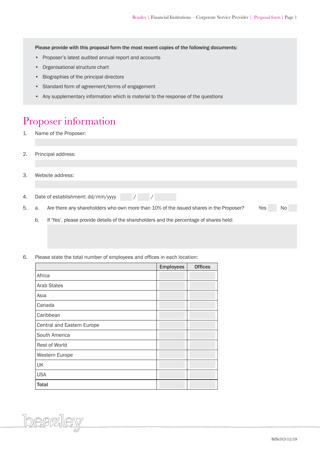Please provide with this proposal form the most recent copies of the following documents:

- Proposer's latest audited annual report and accounts
- Organisational structure chart
- Biographies of the principal directors
- Standard form of agreement/terms of engagement
- Any supplementary information which is material to the response of the questions

### Proposer information

- 1. Name of the Proposer:
- 2. Principal address:
- 3. Website address:

beazley

4. Date of establishment: dd/mm/yyyy / / /

5. a. Are there any shareholders who own more than 10% of the issued shares in the Proposer? Yes No

- b. If 'Yes', please provide details of the shareholders and the percentage of shares held:
- 6. Please state the total number of employees and offices in each location:

|                            | <b>Employees</b> | <b>Offices</b> |
|----------------------------|------------------|----------------|
| Africa                     |                  |                |
| <b>Arab States</b>         |                  |                |
| Asia                       |                  |                |
| Canada                     |                  |                |
| Caribbean                  |                  |                |
| Central and Eastern Europe |                  |                |
| South America              |                  |                |
| Rest of World              |                  |                |
| Western Europe             |                  |                |
| UK                         |                  |                |
| <b>USA</b>                 |                  |                |
| <b>Total</b>               |                  |                |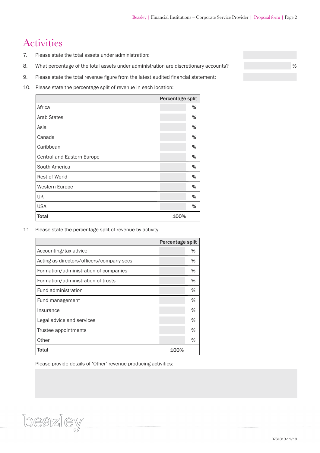# Activities

- 7. Please state the total assets under administration:
- 8. What percentage of the total assets under administration are discretionary accounts? We want to be a set of  $\%$
- 9. Please state the total revenue figure from the latest audited financial statement:
- 10. Please state the percentage split of revenue in each location:

|                            | Percentage split |
|----------------------------|------------------|
| Africa                     | %                |
| <b>Arab States</b>         | %                |
| Asia                       | %                |
| Canada                     | %                |
| Caribbean                  | %                |
| Central and Eastern Europe | %                |
| South America              | %                |
| <b>Rest of World</b>       | %                |
| Western Europe             | %                |
| UK                         | %                |
| <b>USA</b>                 | %                |
| <b>Total</b>               | 100%             |

11. Please state the percentage split of revenue by activity:

|                                           | Percentage split |      |
|-------------------------------------------|------------------|------|
| Accounting/tax advice                     |                  | %    |
| Acting as directors/officers/company secs |                  | %    |
| Formation/administration of companies     |                  | %    |
| Formation/administration of trusts        |                  | %    |
| Fund administration                       |                  | %    |
| Fund management                           |                  | %    |
| Insurance                                 |                  | $\%$ |
| Legal advice and services                 |                  | %    |
| Trustee appointments                      |                  | %    |
| Other                                     |                  | $\%$ |
| <b>Total</b>                              | 100%             |      |

Please provide details of 'Other' revenue producing activities:

beazley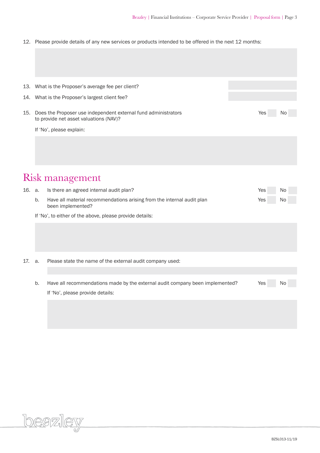12. Please provide details of any new services or products intended to be offered in the next 12 months:

|        |                                                          | 13. What is the Proposer's average fee per client?                                                       |     |     |  |  |  |  |  |
|--------|----------------------------------------------------------|----------------------------------------------------------------------------------------------------------|-----|-----|--|--|--|--|--|
| 14.    | What is the Proposer's largest client fee?               |                                                                                                          |     |     |  |  |  |  |  |
|        |                                                          |                                                                                                          |     |     |  |  |  |  |  |
| 15.    |                                                          | Does the Proposer use independent external fund administrators<br>to provide net asset valuations (NAV)? | Yes | No. |  |  |  |  |  |
|        |                                                          | If 'No', please explain:                                                                                 |     |     |  |  |  |  |  |
|        |                                                          |                                                                                                          |     |     |  |  |  |  |  |
|        |                                                          |                                                                                                          |     |     |  |  |  |  |  |
|        |                                                          |                                                                                                          |     |     |  |  |  |  |  |
|        |                                                          | <b>Risk management</b>                                                                                   |     |     |  |  |  |  |  |
| 16. a. |                                                          | Is there an agreed internal audit plan?                                                                  | Yes | No  |  |  |  |  |  |
|        | b.                                                       | Have all material recommendations arising from the internal audit plan<br>been implemented?              | Yes | No  |  |  |  |  |  |
|        | If 'No', to either of the above, please provide details: |                                                                                                          |     |     |  |  |  |  |  |
|        |                                                          |                                                                                                          |     |     |  |  |  |  |  |
|        |                                                          |                                                                                                          |     |     |  |  |  |  |  |
|        |                                                          |                                                                                                          |     |     |  |  |  |  |  |
| 17.    | a.                                                       | Please state the name of the external audit company used:                                                |     |     |  |  |  |  |  |
|        |                                                          |                                                                                                          |     |     |  |  |  |  |  |
|        | b.                                                       | Have all recommendations made by the external audit company been implemented?                            | Yes | No  |  |  |  |  |  |
|        |                                                          | If 'No', please provide details:                                                                         |     |     |  |  |  |  |  |
|        |                                                          |                                                                                                          |     |     |  |  |  |  |  |
|        |                                                          |                                                                                                          |     |     |  |  |  |  |  |
|        |                                                          |                                                                                                          |     |     |  |  |  |  |  |
|        |                                                          |                                                                                                          |     |     |  |  |  |  |  |

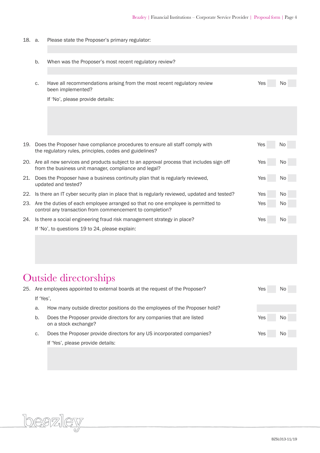18. a. Please state the Proposer's primary regulator:

|     | b.                                                                                                          | When was the Proposer's most recent regulatory review?                                                                                               |     |                |  |  |  |
|-----|-------------------------------------------------------------------------------------------------------------|------------------------------------------------------------------------------------------------------------------------------------------------------|-----|----------------|--|--|--|
|     |                                                                                                             |                                                                                                                                                      |     |                |  |  |  |
|     | C.                                                                                                          | Have all recommendations arising from the most recent regulatory review<br>been implemented?                                                         | Yes | No             |  |  |  |
|     |                                                                                                             | If 'No', please provide details:                                                                                                                     |     |                |  |  |  |
|     |                                                                                                             |                                                                                                                                                      |     |                |  |  |  |
|     |                                                                                                             |                                                                                                                                                      |     |                |  |  |  |
|     |                                                                                                             |                                                                                                                                                      |     |                |  |  |  |
|     |                                                                                                             |                                                                                                                                                      |     |                |  |  |  |
| 19. |                                                                                                             | Does the Proposer have compliance procedures to ensure all staff comply with<br>the regulatory rules, principles, codes and guidelines?              | Yes | No             |  |  |  |
|     |                                                                                                             | 20. Are all new services and products subject to an approval process that includes sign off<br>from the business unit manager, compliance and legal? | Yes | No.            |  |  |  |
| 21. | Does the Proposer have a business continuity plan that is regularly reviewed,<br>Yes<br>updated and tested? |                                                                                                                                                      |     |                |  |  |  |
|     |                                                                                                             | 22. Is there an IT cyber security plan in place that is regularly reviewed, updated and tested?                                                      | Yes | N <sub>o</sub> |  |  |  |
| 23. |                                                                                                             | Are the duties of each employee arranged so that no one employee is permitted to<br>control any transaction from commencement to completion?         | Yes | No             |  |  |  |
|     |                                                                                                             | 24. Is there a social engineering fraud risk management strategy in place?                                                                           | Yes | N0             |  |  |  |
|     |                                                                                                             |                                                                                                                                                      |     |                |  |  |  |

If 'No', to questions 19 to 24, please explain:

# Outside directorships

beazley

| 25. |           | Are employees appointed to external boards at the request of the Proposer?<br>Yes             |     |     |  |  |  |  |
|-----|-----------|-----------------------------------------------------------------------------------------------|-----|-----|--|--|--|--|
|     | If 'Yes', |                                                                                               |     |     |  |  |  |  |
|     | a.        |                                                                                               |     |     |  |  |  |  |
|     | b.        | Does the Proposer provide directors for any companies that are listed<br>on a stock exchange? | Yes | No. |  |  |  |  |
|     | C.        | Does the Proposer provide directors for any US incorporated companies?                        | Yes | No. |  |  |  |  |
|     |           | If 'Yes', please provide details:                                                             |     |     |  |  |  |  |
|     |           |                                                                                               |     |     |  |  |  |  |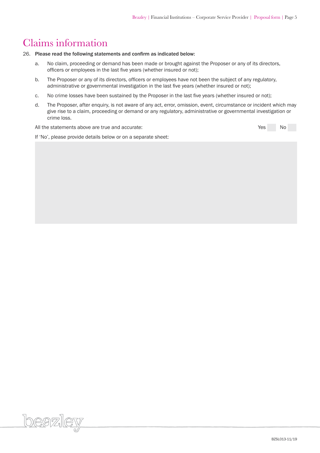### Claims information

<u>loeazlev</u>

#### 26. Please read the following statements and confirm as indicated below:

- a. No claim, proceeding or demand has been made or brought against the Proposer or any of its directors, officers or employees in the last five years (whether insured or not);
- b. The Proposer or any of its directors, officers or employees have not been the subject of any regulatory, administrative or governmental investigation in the last five years (whether insured or not);
- c. No crime losses have been sustained by the Proposer in the last five years (whether insured or not);
- d. The Proposer, after enquiry, is not aware of any act, error, omission, event, circumstance or incident which may give rise to a claim, proceeding or demand or any regulatory, administrative or governmental investigation or crime loss.

All the statements above are true and accurate:  $\blacksquare$  Yes No

If 'No', please provide details below or on a separate sheet: